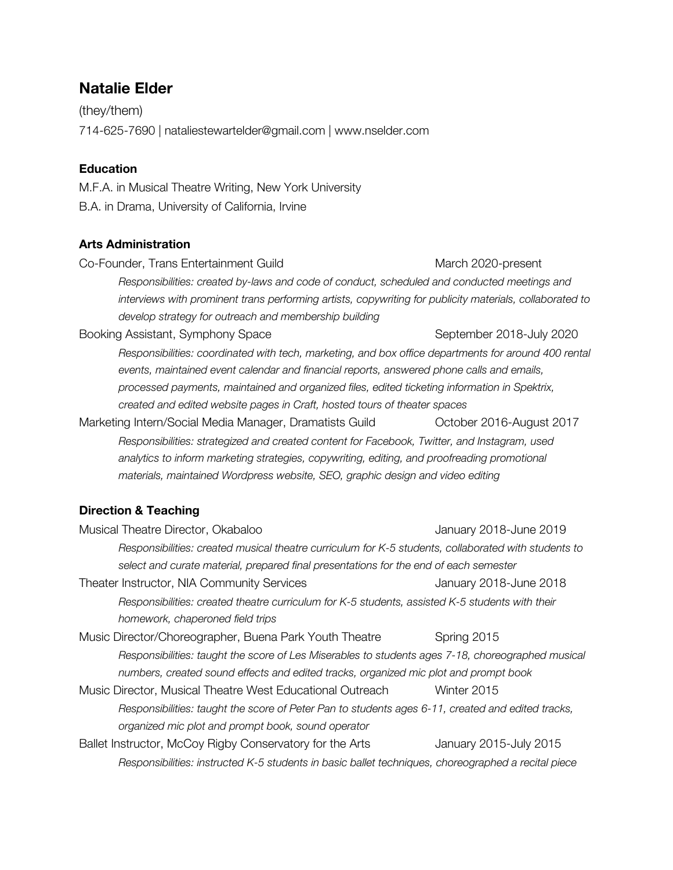# **Natalie Elder**

(they/them) 714-625-7690 | nataliestewartelder@gmail.com | www.nselder.com

# **Education**

M.F.A. in Musical Theatre Writing, New York University B.A. in Drama, University of California, Irvine

# **Arts Administration**

Co-Founder, Trans Entertainment Guild March 2020-present *Responsibilities: created by-laws and code of conduct, scheduled and conducted meetings and interviews with prominent trans performing artists, copywriting for publicity materials, collaborated to develop strategy for outreach and membership building* Booking Assistant, Symphony Space September 2018-July 2020 *Responsibilities: coordinated with tech, marketing, and box office departments for around 400 rental events, maintained event calendar and financial reports, answered phone calls and emails, processed payments, maintained and organized files, edited ticketing information in Spektrix, created and edited website pages in Craft, hosted tours of theater spaces* Marketing Intern/Social Media Manager, Dramatists Guild October 2016-August 2017 *Responsibilities: strategized and created content for Facebook, Twitter, and Instagram, used analytics to inform marketing strategies, copywriting, editing, and proofreading promotional materials, maintained Wordpress website, SEO, graphic design and video editing* **Direction & Teaching**

| Musical Theatre Director, Okabaloo                                                                   | January 2018-June 2019 |  |  |
|------------------------------------------------------------------------------------------------------|------------------------|--|--|
| Responsibilities: created musical theatre curriculum for K-5 students, collaborated with students to |                        |  |  |
| select and curate material, prepared final presentations for the end of each semester                |                        |  |  |
| Theater Instructor, NIA Community Services                                                           | January 2018-June 2018 |  |  |
| Responsibilities: created theatre curriculum for K-5 students, assisted K-5 students with their      |                        |  |  |
| homework, chaperoned field trips                                                                     |                        |  |  |
| Music Director/Choreographer, Buena Park Youth Theatre                                               | Spring 2015            |  |  |
| Responsibilities: taught the score of Les Miserables to students ages 7-18, choreographed musical    |                        |  |  |
| numbers, created sound effects and edited tracks, organized mic plot and prompt book                 |                        |  |  |
| Music Director, Musical Theatre West Educational Outreach                                            | Winter 2015            |  |  |
| Responsibilities: taught the score of Peter Pan to students ages 6-11, created and edited tracks,    |                        |  |  |
| organized mic plot and prompt book, sound operator                                                   |                        |  |  |
| Ballet Instructor, McCoy Rigby Conservatory for the Arts                                             | January 2015-July 2015 |  |  |
| Responsibilities: instructed K-5 students in basic ballet techniques, choreographed a recital piece  |                        |  |  |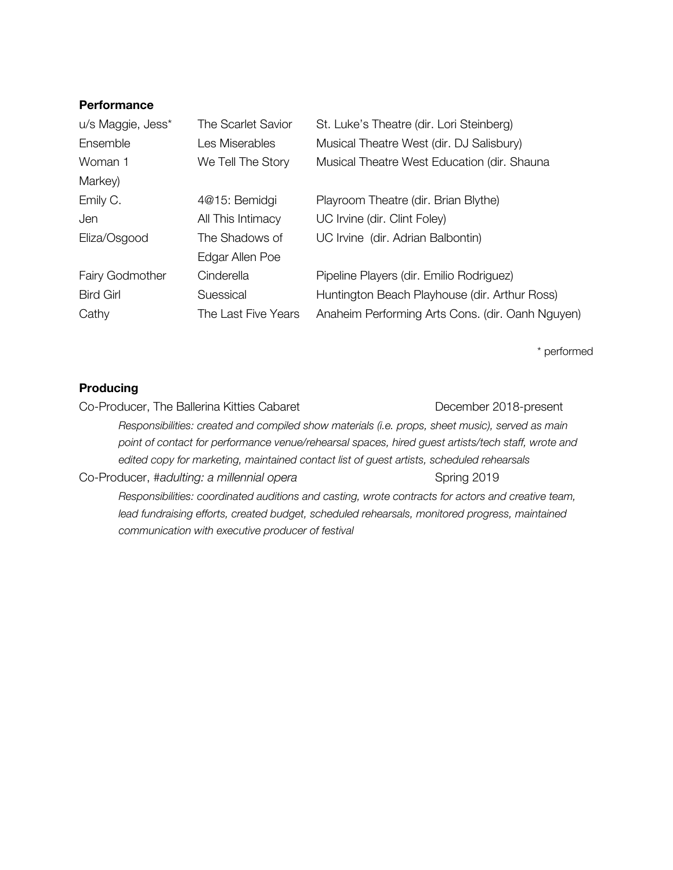#### **Performance**

| u/s Maggie, Jess* | The Scarlet Savior  | St. Luke's Theatre (dir. Lori Steinberg)         |
|-------------------|---------------------|--------------------------------------------------|
| Ensemble          | Les Miserables      | Musical Theatre West (dir. DJ Salisbury)         |
| Woman 1           | We Tell The Story   | Musical Theatre West Education (dir. Shauna      |
| Markey)           |                     |                                                  |
| Emily C.          | 4@15: Bemidgi       | Playroom Theatre (dir. Brian Blythe)             |
| Jen               | All This Intimacy   | UC Irvine (dir. Clint Foley)                     |
| Eliza/Osgood      | The Shadows of      | UC Irvine (dir. Adrian Balbontin)                |
|                   | Edgar Allen Poe     |                                                  |
| Fairy Godmother   | Cinderella          | Pipeline Players (dir. Emilio Rodriguez)         |
| <b>Bird Girl</b>  | Suessical           | Huntington Beach Playhouse (dir. Arthur Ross)    |
| Cathy             | The Last Five Years | Anaheim Performing Arts Cons. (dir. Oanh Nguyen) |

\* performed

## **Producing**

Co-Producer, The Ballerina Kitties Cabaret **December 2018-present** *Responsibilities: created and compiled show materials (i.e. props, sheet music), served as main point of contact for performance venue/rehearsal spaces, hired guest artists/tech staff, wrote and edited copy for marketing, maintained contact list of guest artists, scheduled rehearsals* Co-Producer, #adulting: a millennial opera<br>
Spring 2019 *Responsibilities: coordinated auditions and casting, wrote contracts for actors and creative team, lead fundraising efforts, created budget, scheduled rehearsals, monitored progress, maintained communication with executive producer of festival*